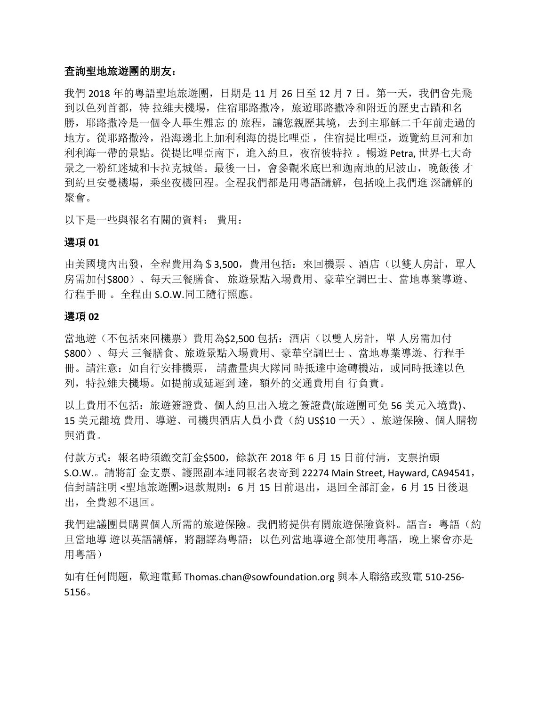### 查詢聖地旅遊團的朋友:

我們 2018年的粵語聖地旅遊團,日期是 11月 26日至 12月7日。第一天,我們會先飛 到以色列首都,特 拉維夫機場,住宿耶路撒冷,旅遊耶路撒冷和附近的歷史古蹟和名 勝,耶路撒冷是一個令人畢生難忘 的 旅程,讓您親歷其境,去到主耶穌二千年前走過的 地方。從耶路撒泠,沿海邊北上加利利海的提比哩亞 ,住宿提比哩亞,遊覽約旦河和加 利利海一帶的景點。從提比哩亞南下,進入約旦,夜宿彼特拉 。暢遊 Petra, 世界七大奇 景之一粉紅迷城和卡拉克城堡。最後一日,會參觀米底巴和迦南地的尼波山,晚飯後才 到約旦安曼機場,乘坐夜機回程。全程我們都是用粵語講解,包括晚上我們進 深講解的 聚會。

以下是一些與報名有關的資料: 費用:

#### 選項 **01**

由美國境內出發, 全程費用為 \$3,500, 費用包括: 來回機票、酒店(以雙人房計, 單人 房需加付\$800)、每天三餐膳食、 旅遊景點入場費用、豪華空調巴士、當地專業導遊、 行程手冊 。全程由 S.O.W.同工隨行照應。

### 選項 **02**

當地遊(不包括來回機票)費用為\$2,500包括: 酒店(以雙人房計,單人房需加付 \$800)、每天 三餐膳食、旅遊景點入場費用、豪華空調巴士 、當地專業導遊、行程手 冊。請注意: 如自行安排機票, 請盡量與大隊同時抵達中途轉機站, 或同時抵達以色 列,特拉維夫機場。如提前或延遲到 達,額外的交通費用自 行負責。

以上費用不包括:旅遊簽證費、個人約旦出入境之簽證費(旅遊團可免 56 美元入境費)、 15 美元離境 費用、導遊、司機與酒店人員小費(約 US\$10 一天)、旅遊保險、個人購物 與消費。

付款方式:報名時須繳交訂金\$500,餘款在 2018 年 6 月 15 日前付清,支票抬頭 S.O.W.。請將訂 金支票、護照副本連同報名表寄到 22274 Main Street, Hayward, CA94541, 信封請註明 <聖地旅遊團>退款規則:6 月 15 日前退出,退回全部訂金,6 月 15 日後退 出,全費恕不退回。

我們建議團員購買個人所需的旅遊保險。我們將提供有關旅遊保險資料。語言:粵語(約 旦當地導遊以英語講解,將翻譯為粵語;以色列當地導遊全部使用粵語,晚上聚會亦是 用粵語)

如有任何問題,歡迎電郵 Thomas.chan@sowfoundation.org 與本人聯絡或致電 510-256-5156。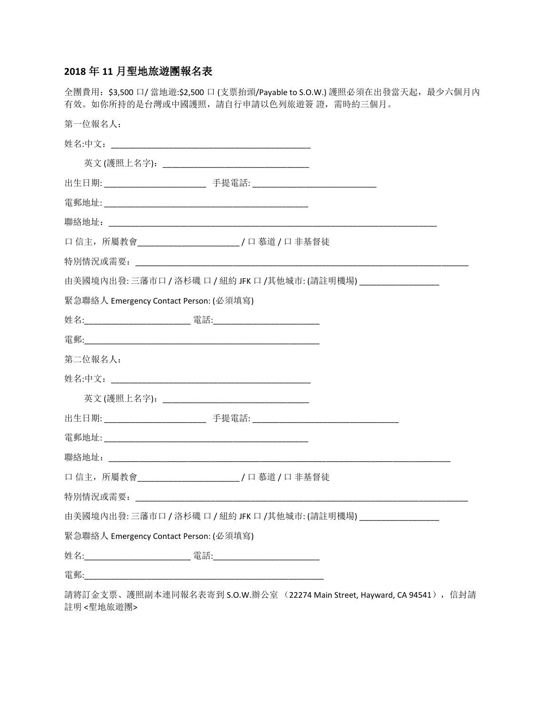## 2018年11月聖地旅遊團報名表

全團費用: \$3,500 口/ 當地遊:\$2,500 口 (支票抬頭/Payable to S.O.W.) 護照必須在出發當天起, 最少六個月內 有效。如你所持的是台灣或中國護照,請自行申請以色列旅遊簽證,需時約三個月。

| 第一位報名人:                                |                                                 |                                                                         |
|----------------------------------------|-------------------------------------------------|-------------------------------------------------------------------------|
|                                        |                                                 |                                                                         |
|                                        |                                                 |                                                                         |
|                                        |                                                 |                                                                         |
|                                        |                                                 |                                                                         |
|                                        |                                                 |                                                                         |
|                                        | 口信主, 所屬教會________________________/口 慕道 / 口 非基督徒 |                                                                         |
|                                        |                                                 |                                                                         |
|                                        |                                                 | 由美國境內出發: 三藩市口 / 洛杉磯 口 / 紐約 JFK 口 /其他城市: (請註明機場) __________________      |
| 緊急聯絡人 Emergency Contact Person: (必須填寫) |                                                 |                                                                         |
|                                        |                                                 |                                                                         |
|                                        |                                                 |                                                                         |
| 第二位報名人:                                |                                                 |                                                                         |
|                                        |                                                 |                                                                         |
|                                        |                                                 |                                                                         |
|                                        |                                                 |                                                                         |
|                                        |                                                 |                                                                         |
|                                        |                                                 |                                                                         |
|                                        |                                                 |                                                                         |
|                                        |                                                 |                                                                         |
|                                        | 由美國境內出發: 三藩市口 / 洛杉磯 口 / 紐約 JFK 口 /其他城市: (請註明機場) |                                                                         |
| 緊急聯絡人 Emergency Contact Person: (必須填寫) |                                                 |                                                                         |
|                                        |                                                 |                                                                         |
| 電郵:                                    |                                                 |                                                                         |
|                                        |                                                 | 請將訂金支票、護照副本連同報名表寄到 S.O.W.辦公室 (22274 Main Street, Hayward, CA 94541),信封請 |

註明<聖地旅遊團>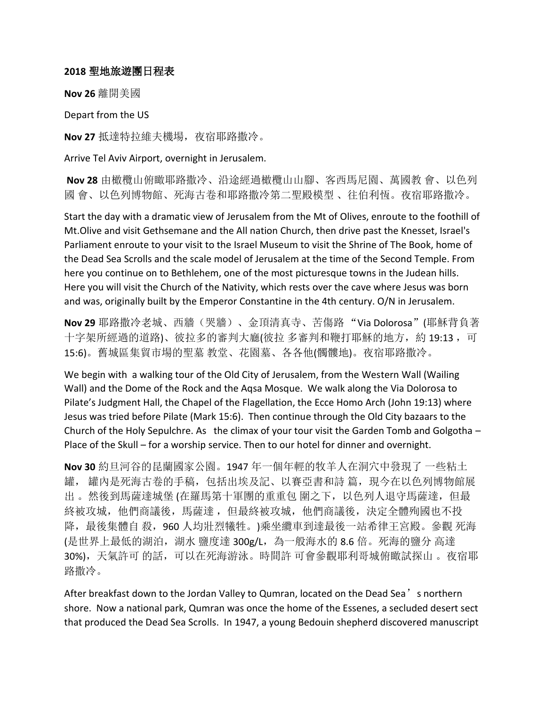## **2018** 聖地旅遊團日程表

**Nov 26** 離開美國

Depart from the US

**Nov 27** 抵達特拉維夫機場,夜宿耶路撒冷。

Arrive Tel Aviv Airport, overnight in Jerusalem.

**Nov 28** 由橄欖山俯瞰耶路撒冷、沿途經過橄欖山山腳、客西馬尼園、萬國教 會、以色列 國 會、以色列博物館、死海古卷和耶路撒冷第二聖殿模型 、往伯利恆。夜宿耶路撒冷。

Start the day with a dramatic view of Jerusalem from the Mt of Olives, enroute to the foothill of Mt.Olive and visit Gethsemane and the All nation Church, then drive past the Knesset, Israel's Parliament enroute to your visit to the Israel Museum to visit the Shrine of The Book, home of the Dead Sea Scrolls and the scale model of Jerusalem at the time of the Second Temple. From here you continue on to Bethlehem, one of the most picturesque towns in the Judean hills. Here you will visit the Church of the Nativity, which rests over the cave where Jesus was born and was, originally built by the Emperor Constantine in the 4th century. O/N in Jerusalem.

**Nov 29** 耶路撒冷老城、西牆(哭牆)、金頂清真寺、苦傷路 "Via Dolorosa"(耶穌背負著 十字架所經過的道路)、彼拉多的審判大廳(彼拉 多審判和鞭打耶穌的地方, 約 19:13, 可 15:6)。舊城區集貿市場的聖墓 教堂、花園墓、各各他(髑髏地)。夜宿耶路撒冷。

We begin with a walking tour of the Old City of Jerusalem, from the Western Wall (Wailing Wall) and the Dome of the Rock and the Aqsa Mosque. We walk along the Via Dolorosa to Pilate's Judgment Hall, the Chapel of the Flagellation, the Ecce Homo Arch (John 19:13) where Jesus was tried before Pilate (Mark 15:6). Then continue through the Old City bazaars to the Church of the Holy Sepulchre. As the climax of your tour visit the Garden Tomb and Golgotha – Place of the Skull – for a worship service. Then to our hotel for dinner and overnight.

**Nov 30** 約旦河谷的昆蘭國家公園。1947 年一個年輕的牧羊人在洞穴中發現了 一些粘土 罐, 罐内是死海古卷的手稿, 包括出埃及記、以賽亞書和詩 篇, 現今在以色列博物館展 出 。然後到馬薩達城堡 (在羅馬第十軍團的重重包 圍之下, 以色列人退守馬薩達, 但最 終被攻城,他們商議後,馬薩達 ,但最終被攻城,他們商議後,決定全體殉國也不投 降,最後集體自殺,960人均壯烈犧牲。)乘坐纜車到達最後一站希律王宮殿。參觀 死海 (是世界上最低的湖泊,湖水 鹽度達 300g/L,為一般海水的 8.6 倍。死海的鹽分 高達 30%), 天氣許可 的話, 可以在死海游泳。時間許 可會參觀耶利哥城俯瞰試探山 。夜宿耶 路撒冷。

After breakfast down to the Jordan Valley to Qumran, located on the Dead Sea's northern shore. Now a national park, Qumran was once the home of the Essenes, a secluded desert sect that produced the Dead Sea Scrolls. In 1947, a young Bedouin shepherd discovered manuscript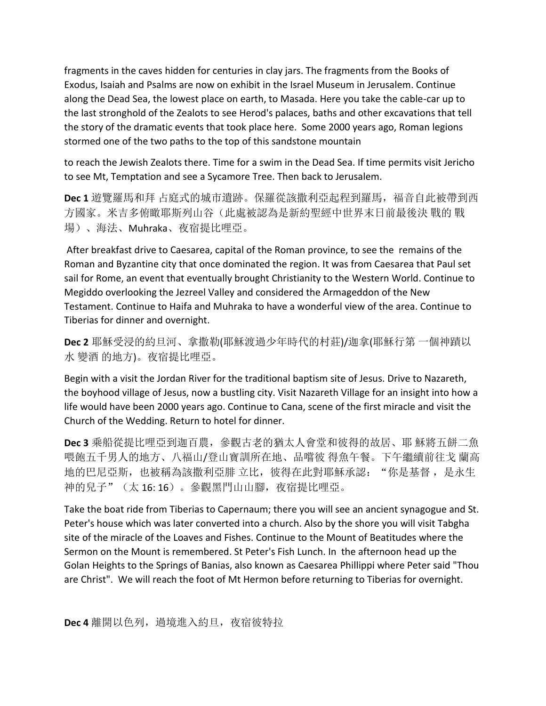fragments in the caves hidden for centuries in clay jars. The fragments from the Books of Exodus, Isaiah and Psalms are now on exhibit in the Israel Museum in Jerusalem. Continue along the Dead Sea, the lowest place on earth, to Masada. Here you take the cable-car up to the last stronghold of the Zealots to see Herod's palaces, baths and other excavations that tell the story of the dramatic events that took place here. Some 2000 years ago, Roman legions stormed one of the two paths to the top of this sandstone mountain

to reach the Jewish Zealots there. Time for a swim in the Dead Sea. If time permits visit Jericho to see Mt, Temptation and see a Sycamore Tree. Then back to Jerusalem.

**Dec 1** 遊覽羅馬和拜 占庭式的城市遺跡。保羅從該撒利亞起程到羅馬,福音自此被帶到西 方國家。米吉多俯瞰耶斯列山谷(此處被認為是新約聖經中世界末日前最後決 戰的 戰 場)、海法、Muhraka、夜宿提比哩亞。

After breakfast drive to Caesarea, capital of the Roman province, to see the remains of the Roman and Byzantine city that once dominated the region. It was from Caesarea that Paul set sail for Rome, an event that eventually brought Christianity to the Western World. Continue to Megiddo overlooking the Jezreel Valley and considered the Armageddon of the New Testament. Continue to Haifa and Muhraka to have a wonderful view of the area. Continue to Tiberias for dinner and overnight.

**Dec 2** 耶穌受浸的約旦河、拿撒勒(耶穌渡過少年時代的村莊)/迦拿(耶穌行第 一個神蹟以 水 變酒 的地方)。夜宿提比哩亞。

Begin with a visit the Jordan River for the traditional baptism site of Jesus. Drive to Nazareth, the boyhood village of Jesus, now a bustling city. Visit Nazareth Village for an insight into how a life would have been 2000 years ago. Continue to Cana, scene of the first miracle and visit the Church of the Wedding. Return to hotel for dinner.

**Dec 3** 乘船從提比哩亞到迦百農,參觀古老的猶太人會堂和彼得的故居、耶 穌將五餅二魚 喂飽五千男人的地方、八福山/登山寶訓所在地、品嚐彼 得魚午餐。下午繼續前往戈 蘭高 地的巴尼亞斯,也被稱為該撒利亞腓 立比,彼得在此對耶穌承認: "你是基督,是永生 神的兒子"(太 16: 16)。參觀黑門山山腳,夜宿提比哩亞。

Take the boat ride from Tiberias to Capernaum; there you will see an ancient synagogue and St. Peter's house which was later converted into a church. Also by the shore you will visit Tabgha site of the miracle of the Loaves and Fishes. Continue to the Mount of Beatitudes where the Sermon on the Mount is remembered. St Peter's Fish Lunch. In the afternoon head up the Golan Heights to the Springs of Banias, also known as Caesarea Phillippi where Peter said "Thou are Christ". We will reach the foot of Mt Hermon before returning to Tiberias for overnight.